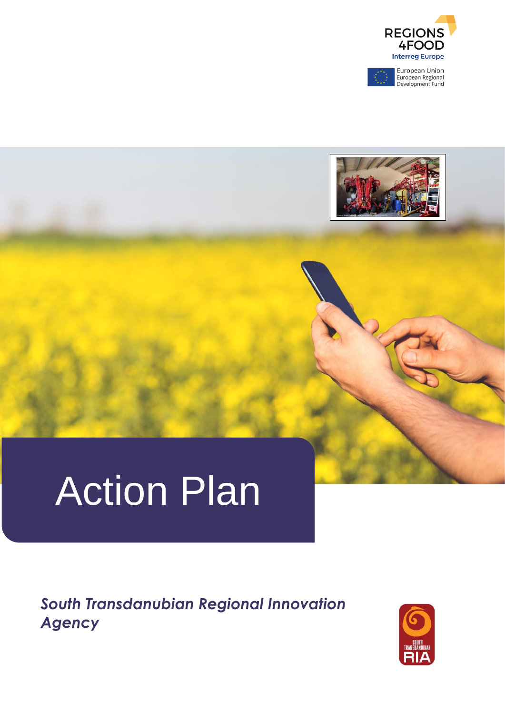

European Union<br>European Regional<br>Development Fund



# Action Plan

*South Transdanubian Regional Innovation Agency*

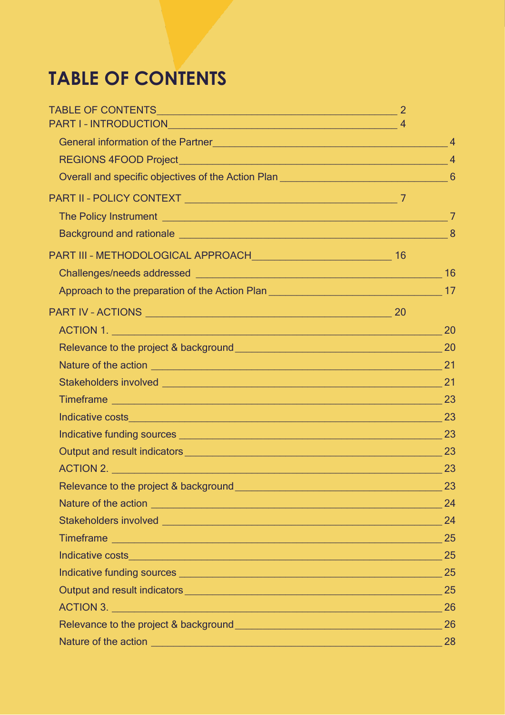## <span id="page-1-0"></span>**TABLE OF CONTENTS**

| Approach to the preparation of the Action Plan <b>Constanting and Travelle Action</b> 17                                                                                                                                             |    |
|--------------------------------------------------------------------------------------------------------------------------------------------------------------------------------------------------------------------------------------|----|
|                                                                                                                                                                                                                                      |    |
|                                                                                                                                                                                                                                      |    |
|                                                                                                                                                                                                                                      |    |
|                                                                                                                                                                                                                                      |    |
|                                                                                                                                                                                                                                      |    |
|                                                                                                                                                                                                                                      |    |
| Indicative costs 23                                                                                                                                                                                                                  |    |
|                                                                                                                                                                                                                                      |    |
|                                                                                                                                                                                                                                      |    |
|                                                                                                                                                                                                                                      |    |
| Relevance to the project & background <b>with a set of the contract of the project</b> with the project of the contract of                                                                                                           | 23 |
|                                                                                                                                                                                                                                      |    |
| Stakeholders involved <b>with the contract of the contract of the contract of the contract of the contract of the contract of the contract of the contract of the contract of the contract of the contract of the contract of th</b> | 24 |
|                                                                                                                                                                                                                                      |    |
| Indicative costs 25                                                                                                                                                                                                                  |    |
|                                                                                                                                                                                                                                      | 25 |
|                                                                                                                                                                                                                                      |    |
|                                                                                                                                                                                                                                      |    |
|                                                                                                                                                                                                                                      | 26 |
|                                                                                                                                                                                                                                      |    |
|                                                                                                                                                                                                                                      |    |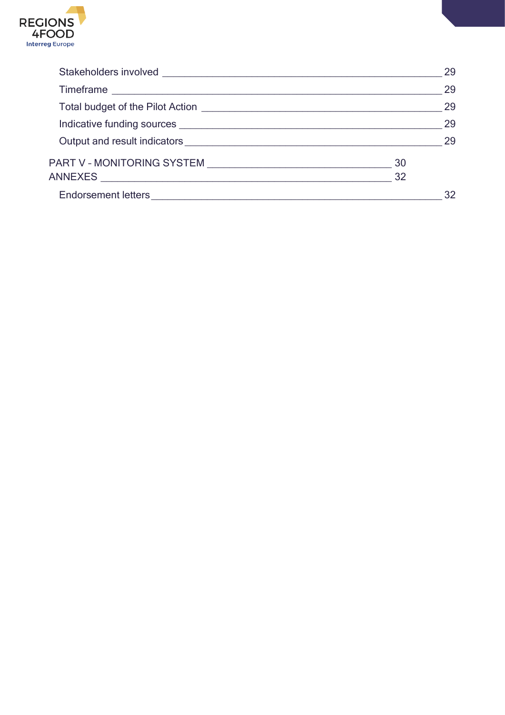

|                 | 29 |
|-----------------|----|
|                 | 29 |
|                 | 29 |
|                 | 29 |
|                 | 29 |
| 30              |    |
| $\overline{32}$ |    |
|                 | 32 |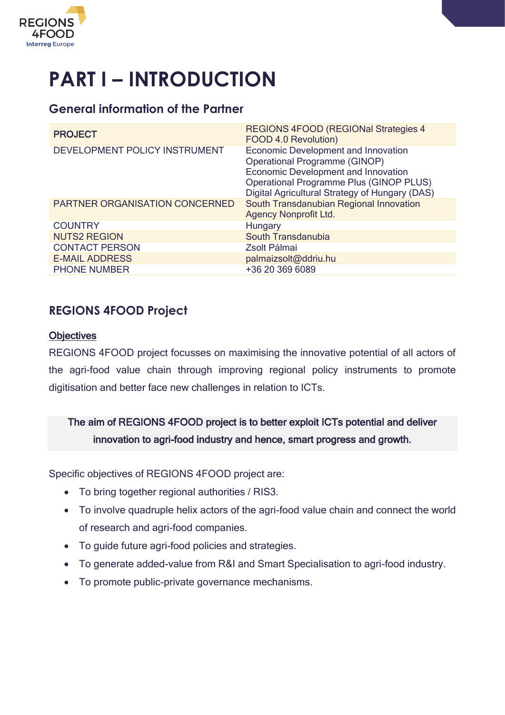

# <span id="page-3-0"></span>**PART I – INTRODUCTION**

#### <span id="page-3-1"></span>**General information of the Partner**

| <b>PROJECT</b>                        | <b>REGIONS 4FOOD (REGIONal Strategies 4)</b><br>FOOD 4.0 Revolution)                                                                                                                                                          |
|---------------------------------------|-------------------------------------------------------------------------------------------------------------------------------------------------------------------------------------------------------------------------------|
| DEVELOPMENT POLICY INSTRUMENT         | <b>Economic Development and Innovation</b><br><b>Operational Programme (GINOP)</b><br><b>Economic Development and Innovation</b><br>Operational Programme Plus (GINOP PLUS)<br>Digital Agricultural Strategy of Hungary (DAS) |
| <b>PARTNER ORGANISATION CONCERNED</b> | South Transdanubian Regional Innovation<br><b>Agency Nonprofit Ltd.</b>                                                                                                                                                       |
| <b>COUNTRY</b>                        | Hungary                                                                                                                                                                                                                       |
| <b>NUTS2 REGION</b>                   | South Transdanubia                                                                                                                                                                                                            |
| <b>CONTACT PERSON</b>                 | Zsolt Pálmai                                                                                                                                                                                                                  |
| <b>E-MAIL ADDRESS</b>                 | palmaizsolt@ddriu.hu                                                                                                                                                                                                          |
| PHONE NUMBER                          | +36 20 369 6089                                                                                                                                                                                                               |

#### <span id="page-3-2"></span>**REGIONS 4FOOD Project**

#### **Objectives**

REGIONS 4FOOD project focusses on maximising the innovative potential of all actors of the agri-food value chain through improving regional policy instruments to promote digitisation and better face new challenges in relation to ICTs.

#### The aim of REGIONS 4FOOD project is to better exploit ICTs potential and deliver innovation to agri-food industry and hence, smart progress and growth.

Specific objectives of REGIONS 4FOOD project are:

- To bring together regional authorities / RIS3.
- To involve quadruple helix actors of the agri-food value chain and connect the world of research and agri-food companies.
- To guide future agri-food policies and strategies.
- To generate added-value from R&I and Smart Specialisation to agri-food industry.
- To promote public-private governance mechanisms.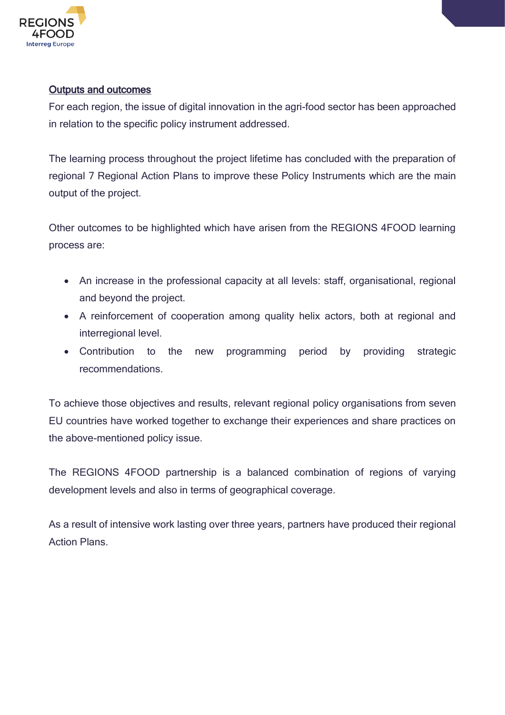

#### Outputs and outcomes

For each region, the issue of digital innovation in the agri-food sector has been approached in relation to the specific policy instrument addressed.

The learning process throughout the project lifetime has concluded with the preparation of regional 7 Regional Action Plans to improve these Policy Instruments which are the main output of the project.

Other outcomes to be highlighted which have arisen from the REGIONS 4FOOD learning process are:

- An increase in the professional capacity at all levels: staff, organisational, regional and beyond the project.
- A reinforcement of cooperation among quality helix actors, both at regional and interregional level.
- Contribution to the new programming period by providing strategic recommendations.

To achieve those objectives and results, relevant regional policy organisations from seven EU countries have worked together to exchange their experiences and share practices on the above-mentioned policy issue.

The REGIONS 4FOOD partnership is a balanced combination of regions of varying development levels and also in terms of geographical coverage.

As a result of intensive work lasting over three years, partners have produced their regional Action Plans.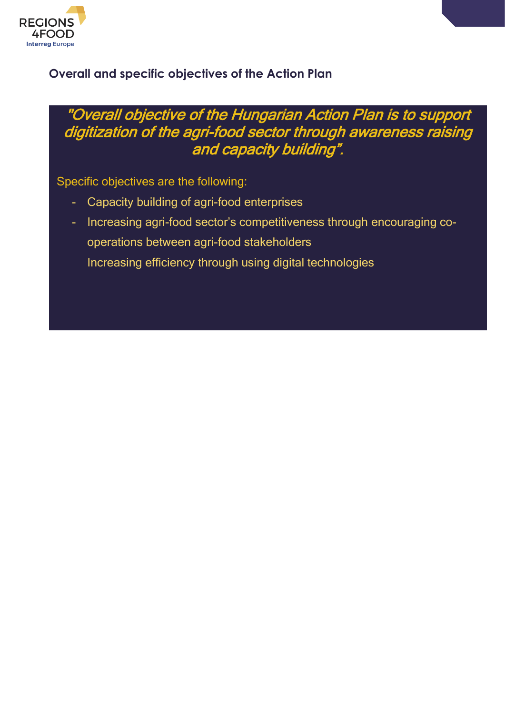

#### <span id="page-5-0"></span>**Overall and specific objectives of the Action Plan**

### "Overall objective of the Hungarian Action Plan is to support digitization of the agri-food sector through awareness raising and capacity building".

Specific objectives are the following:

- Capacity building of agri-food enterprises
- Increasing agri-food sector's competitiveness through encouraging cooperations between agri-food stakeholders
	- Increasing efficiency through using digital technologies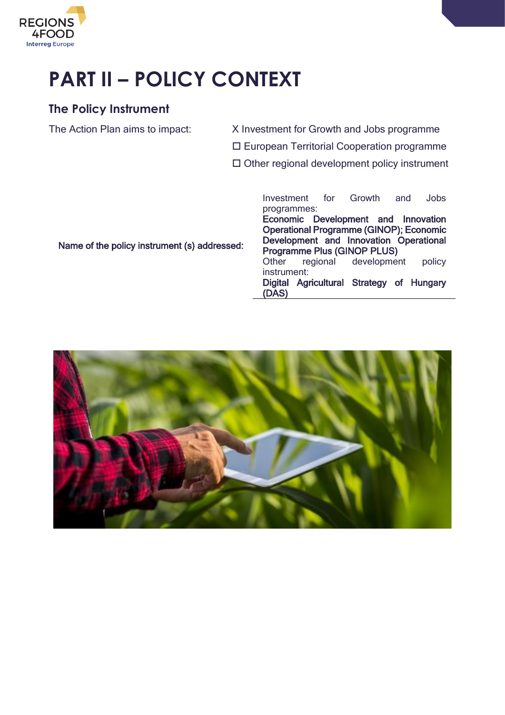

# <span id="page-6-0"></span>**PART II – POLICY CONTEXT**

#### <span id="page-6-1"></span>**The Policy Instrument**

The Action Plan aims to impact: X Investment for Growth and Jobs programme

European Territorial Cooperation programme

 $\square$  Other regional development policy instrument

Name of the policy instrument (s) addressed:

Investment for Growth and Jobs programmes:

Economic Development and Innovation Operational Programme (GINOP); Economic Development and Innovation Operational Programme Plus (GINOP PLUS)

Other regional development policy instrument:

Digital Agricultural Strategy of Hungary (DAS)

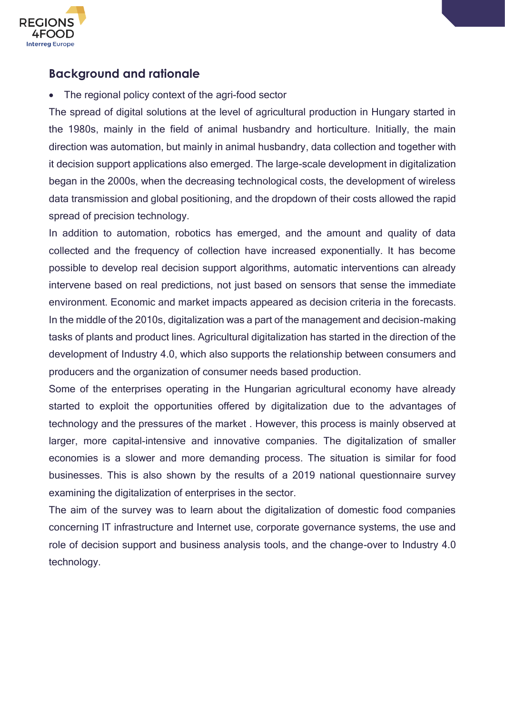

#### <span id="page-7-0"></span>**Background and rationale**

• The regional policy context of the agri-food sector

The spread of digital solutions at the level of agricultural production in Hungary started in the 1980s, mainly in the field of animal husbandry and horticulture. Initially, the main direction was automation, but mainly in animal husbandry, data collection and together with it decision support applications also emerged. The large-scale development in digitalization began in the 2000s, when the decreasing technological costs, the development of wireless data transmission and global positioning, and the dropdown of their costs allowed the rapid spread of precision technology.

In addition to automation, robotics has emerged, and the amount and quality of data collected and the frequency of collection have increased exponentially. It has become possible to develop real decision support algorithms, automatic interventions can already intervene based on real predictions, not just based on sensors that sense the immediate environment. Economic and market impacts appeared as decision criteria in the forecasts. In the middle of the 2010s, digitalization was a part of the management and decision-making tasks of plants and product lines. Agricultural digitalization has started in the direction of the development of Industry 4.0, which also supports the relationship between consumers and producers and the organization of consumer needs based production.

Some of the enterprises operating in the Hungarian agricultural economy have already started to exploit the opportunities offered by digitalization due to the advantages of technology and the pressures of the market . However, this process is mainly observed at larger, more capital-intensive and innovative companies. The digitalization of smaller economies is a slower and more demanding process. The situation is similar for food businesses. This is also shown by the results of a 2019 national questionnaire survey examining the digitalization of enterprises in the sector.

The aim of the survey was to learn about the digitalization of domestic food companies concerning IT infrastructure and Internet use, corporate governance systems, the use and role of decision support and business analysis tools, and the change-over to Industry 4.0 technology.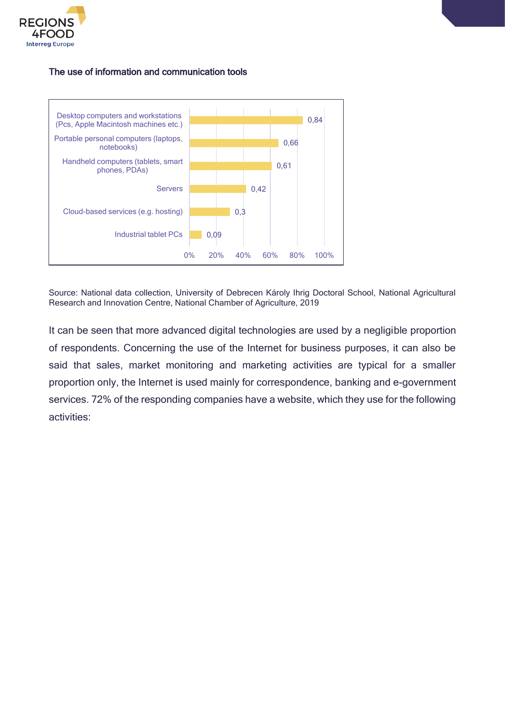

#### The use of information and communication tools



Source: National data collection, University of Debrecen Károly Ihrig Doctoral School, National Agricultural Research and Innovation Centre, National Chamber of Agriculture, 2019

It can be seen that more advanced digital technologies are used by a negligible proportion of respondents. Concerning the use of the Internet for business purposes, it can also be said that sales, market monitoring and marketing activities are typical for a smaller proportion only, the Internet is used mainly for correspondence, banking and e-government services. 72% of the responding companies have a website, which they use for the following activities: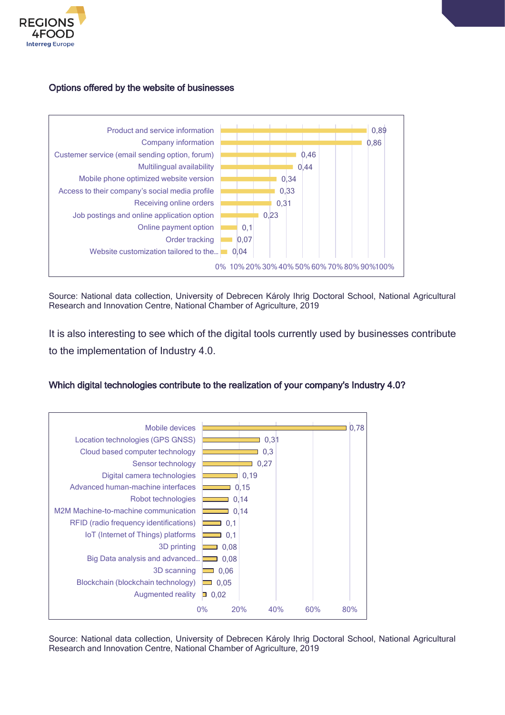

#### Options offered by the website of businesses



Source: National data collection, University of Debrecen Károly Ihrig Doctoral School, National Agricultural Research and Innovation Centre, National Chamber of Agriculture, 2019

It is also interesting to see which of the digital tools currently used by businesses contribute to the implementation of Industry 4.0.

#### Which digital technologies contribute to the realization of your company's Industry 4.0?



Source: National data collection, University of Debrecen Károly Ihrig Doctoral School, National Agricultural Research and Innovation Centre, National Chamber of Agriculture, 2019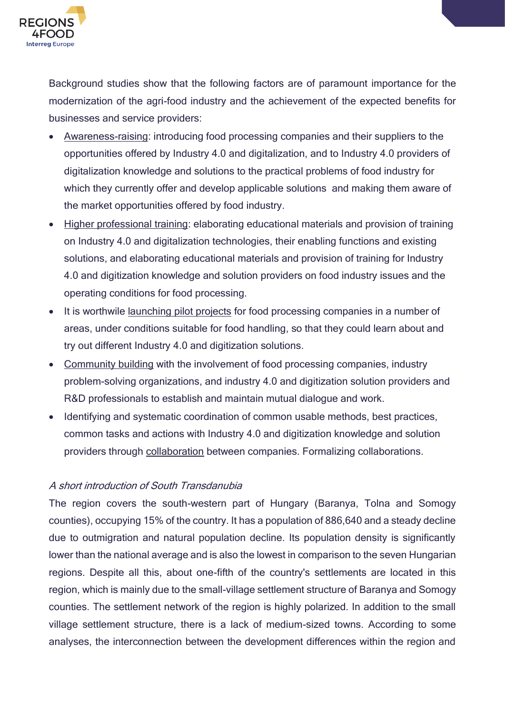

Background studies show that the following factors are of paramount importance for the modernization of the agri-food industry and the achievement of the expected benefits for businesses and service providers:

- Awareness-raising: introducing food processing companies and their suppliers to the opportunities offered by Industry 4.0 and digitalization, and to Industry 4.0 providers of digitalization knowledge and solutions to the practical problems of food industry for which they currently offer and develop applicable solutions and making them aware of the market opportunities offered by food industry.
- Higher professional training: elaborating educational materials and provision of training on Industry 4.0 and digitalization technologies, their enabling functions and existing solutions, and elaborating educational materials and provision of training for Industry 4.0 and digitization knowledge and solution providers on food industry issues and the operating conditions for food processing.
- It is worthwile launching pilot projects for food processing companies in a number of areas, under conditions suitable for food handling, so that they could learn about and try out different Industry 4.0 and digitization solutions.
- Community building with the involvement of food processing companies, industry problem-solving organizations, and industry 4.0 and digitization solution providers and R&D professionals to establish and maintain mutual dialogue and work.
- Identifying and systematic coordination of common usable methods, best practices, common tasks and actions with Industry 4.0 and digitization knowledge and solution providers through collaboration between companies. Formalizing collaborations.

#### A short introduction of South Transdanubia

The region covers the south-western part of Hungary (Baranya, Tolna and Somogy counties), occupying 15% of the country. It has a population of 886,640 and a steady decline due to outmigration and natural population decline. Its population density is significantly lower than the national average and is also the lowest in comparison to the seven Hungarian regions. Despite all this, about one-fifth of the country's settlements are located in this region, which is mainly due to the small-village settlement structure of Baranya and Somogy counties. The settlement network of the region is highly polarized. In addition to the small village settlement structure, there is a lack of medium-sized towns. According to some analyses, the interconnection between the development differences within the region and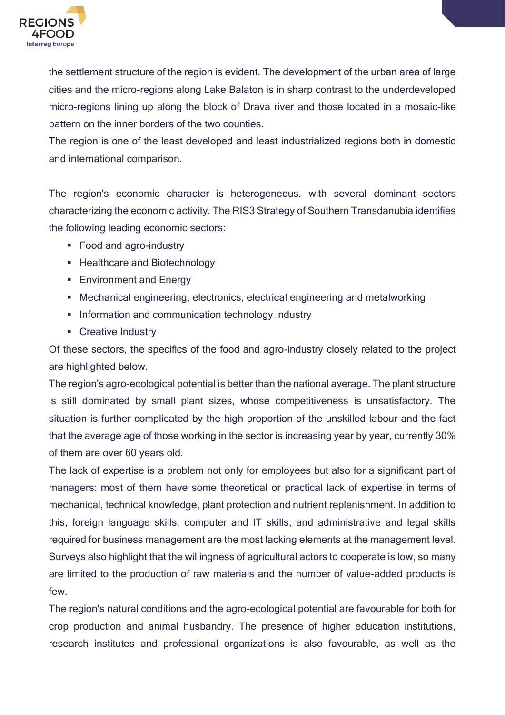

the settlement structure of the region is evident. The development of the urban area of large cities and the micro-regions along Lake Balaton is in sharp contrast to the underdeveloped micro-regions lining up along the block of Drava river and those located in a mosaic-like pattern on the inner borders of the two counties.

The region is one of the least developed and least industrialized regions both in domestic and international comparison.

The region's economic character is heterogeneous, with several dominant sectors characterizing the economic activity. The RIS3 Strategy of Southern Transdanubia identifies the following leading economic sectors:

- Food and agro-industry
- **EXECUTE:** Healthcare and Biotechnology
- **Environment and Energy**
- Mechanical engineering, electronics, electrical engineering and metalworking
- **EXEDENTIFY Information and communication technology industry**
- **Creative Industry**

Of these sectors, the specifics of the food and agro-industry closely related to the project are highlighted below.

The region's agro-ecological potential is better than the national average. The plant structure is still dominated by small plant sizes, whose competitiveness is unsatisfactory. The situation is further complicated by the high proportion of the unskilled labour and the fact that the average age of those working in the sector is increasing year by year, currently 30% of them are over 60 years old.

The lack of expertise is a problem not only for employees but also for a significant part of managers: most of them have some theoretical or practical lack of expertise in terms of mechanical, technical knowledge, plant protection and nutrient replenishment. In addition to this, foreign language skills, computer and IT skills, and administrative and legal skills required for business management are the most lacking elements at the management level. Surveys also highlight that the willingness of agricultural actors to cooperate is low, so many are limited to the production of raw materials and the number of value-added products is few.

The region's natural conditions and the agro-ecological potential are favourable for both for crop production and animal husbandry. The presence of higher education institutions, research institutes and professional organizations is also favourable, as well as the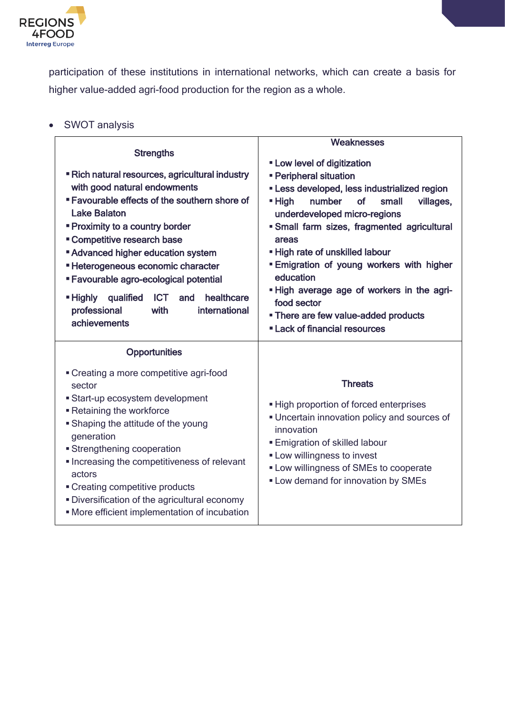

participation of these institutions in international networks, which can create a basis for higher value-added agri-food production for the region as a whole.

| ٠ |  | <b>SWOT analysis</b> |
|---|--|----------------------|
|---|--|----------------------|

|                                                                                                                                                                                                                                                                                                                                                                                                                                                                                                                                      | Weaknesses                                                                                                                                                                                                                                                                                                                                                                                                                                                                                                       |
|--------------------------------------------------------------------------------------------------------------------------------------------------------------------------------------------------------------------------------------------------------------------------------------------------------------------------------------------------------------------------------------------------------------------------------------------------------------------------------------------------------------------------------------|------------------------------------------------------------------------------------------------------------------------------------------------------------------------------------------------------------------------------------------------------------------------------------------------------------------------------------------------------------------------------------------------------------------------------------------------------------------------------------------------------------------|
| <b>Strengths</b><br>" Rich natural resources, agricultural industry<br>with good natural endowments<br><b>Example 5 Favourable effects of the southern shore of</b><br><b>Lake Balaton</b><br><b>Proximity to a country border</b><br><b>Competitive research base</b><br><b>Advanced higher education system</b><br><b>Exercise Heterogeneous economic character</b><br>" Favourable agro-ecological potential<br>healthcare<br>■ Highly<br>qualified<br><b>ICT</b><br>and<br>professional<br>with<br>international<br>achievements | <b>- Low level of digitization</b><br><b>- Peripheral situation</b><br>- Less developed, less industrialized region<br>number<br>$\blacksquare$ High<br>of<br>small<br>villages,<br>underdeveloped micro-regions<br>· Small farm sizes, fragmented agricultural<br>areas<br>. High rate of unskilled labour<br><b>Emigration of young workers with higher</b><br>education<br>. High average age of workers in the agri-<br>food sector<br>• There are few value-added products<br>" Lack of financial resources |
| <b>Opportunities</b><br>• Creating a more competitive agri-food<br>sector<br>• Start-up ecosystem development<br><b>-</b> Retaining the workforce<br>• Shaping the attitude of the young<br>generation<br><b>Strengthening cooperation</b><br>Increasing the competitiveness of relevant<br>actors<br>• Creating competitive products<br>· Diversification of the agricultural economy<br>• More efficient implementation of incubation                                                                                              | <b>Threats</b><br>- High proportion of forced enterprises<br>• Uncertain innovation policy and sources of<br>innovation<br><b>Emigration of skilled labour</b><br><b>- Low willingness to invest</b><br><b>- Low willingness of SMEs to cooperate</b><br><b>- Low demand for innovation by SMEs</b>                                                                                                                                                                                                              |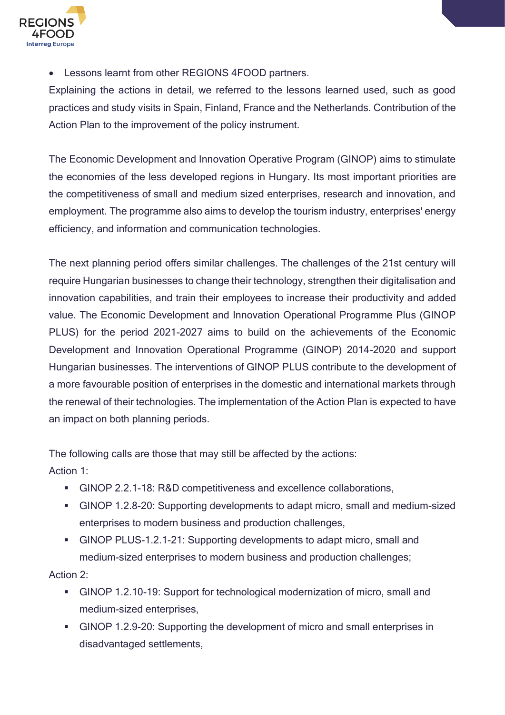

• Lessons learnt from other REGIONS 4FOOD partners.

Explaining the actions in detail, we referred to the lessons learned used, such as good practices and study visits in Spain, Finland, France and the Netherlands. Contribution of the Action Plan to the improvement of the policy instrument.

The Economic Development and Innovation Operative Program (GINOP) aims to stimulate the economies of the less developed regions in Hungary. Its most important priorities are the competitiveness of small and medium sized enterprises, research and innovation, and employment. The programme also aims to develop the tourism industry, enterprises' energy efficiency, and information and communication technologies.

The next planning period offers similar challenges. The challenges of the 21st century will require Hungarian businesses to change their technology, strengthen their digitalisation and innovation capabilities, and train their employees to increase their productivity and added value. The Economic Development and Innovation Operational Programme Plus (GINOP PLUS) for the period 2021-2027 aims to build on the achievements of the Economic Development and Innovation Operational Programme (GINOP) 2014-2020 and support Hungarian businesses. The interventions of GINOP PLUS contribute to the development of a more favourable position of enterprises in the domestic and international markets through the renewal of their technologies. The implementation of the Action Plan is expected to have an impact on both planning periods.

The following calls are those that may still be affected by the actions: Action 1:

- GINOP 2.2.1-18: R&D competitiveness and excellence collaborations,
- GINOP 1.2.8-20: Supporting developments to adapt micro, small and medium-sized enterprises to modern business and production challenges,
- GINOP PLUS-1.2.1-21: Supporting developments to adapt micro, small and medium-sized enterprises to modern business and production challenges;

Action 2:

- GINOP 1.2.10-19: Support for technological modernization of micro, small and medium-sized enterprises,
- GINOP 1.2.9-20: Supporting the development of micro and small enterprises in disadvantaged settlements,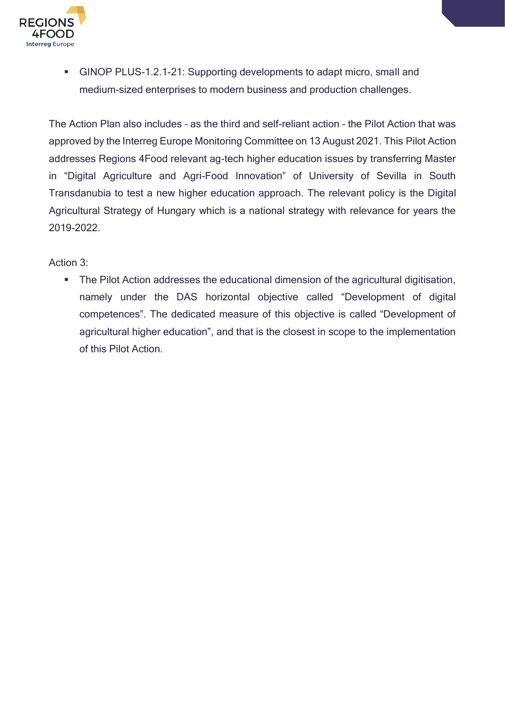

■ GINOP PLUS-1.2.1-21: Supporting developments to adapt micro, small and medium-sized enterprises to modern business and production challenges.

The Action Plan also includes – as the third and self-reliant action – the Pilot Action that was approved by the Interreg Europe Monitoring Committee on 13 August 2021. This Pilot Action addresses Regions 4Food relevant ag-tech higher education issues by transferring Master in "Digital Agriculture and Agri-Food Innovation" of University of Sevilla in South Transdanubia to test a new higher education approach. The relevant policy is the Digital Agricultural Strategy of Hungary which is a national strategy with relevance for years the 2019-2022.

#### Action 3:

■ The Pilot Action addresses the educational dimension of the agricultural digitisation, namely under the DAS horizontal objective called "Development of digital competences". The dedicated measure of this objective is called "Development of agricultural higher education", and that is the closest in scope to the implementation of this Pilot Action.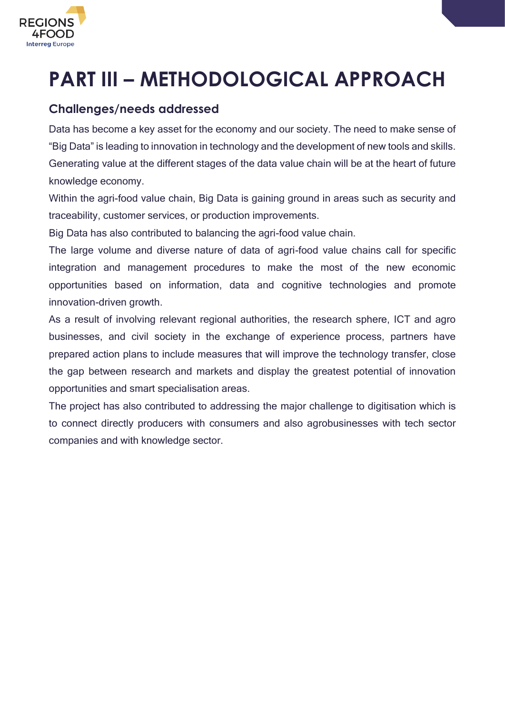

# <span id="page-15-0"></span>**PART III – METHODOLOGICAL APPROACH**

#### <span id="page-15-1"></span>**Challenges/needs addressed**

Data has become a key asset for the economy and our society. The need to make sense of "Big Data" is leading to innovation in technology and the development of new tools and skills. Generating value at the different stages of the data value chain will be at the heart of future knowledge economy.

Within the agri-food value chain, Big Data is gaining ground in areas such as security and traceability, customer services, or production improvements.

Big Data has also contributed to balancing the agri-food value chain.

The large volume and diverse nature of data of agri-food value chains call for specific integration and management procedures to make the most of the new economic opportunities based on information, data and cognitive technologies and promote innovation-driven growth.

As a result of involving relevant regional authorities, the research sphere, ICT and agro businesses, and civil society in the exchange of experience process, partners have prepared action plans to include measures that will improve the technology transfer, close the gap between research and markets and display the greatest potential of innovation opportunities and smart specialisation areas.

The project has also contributed to addressing the major challenge to digitisation which is to connect directly producers with consumers and also agrobusinesses with tech sector companies and with knowledge sector.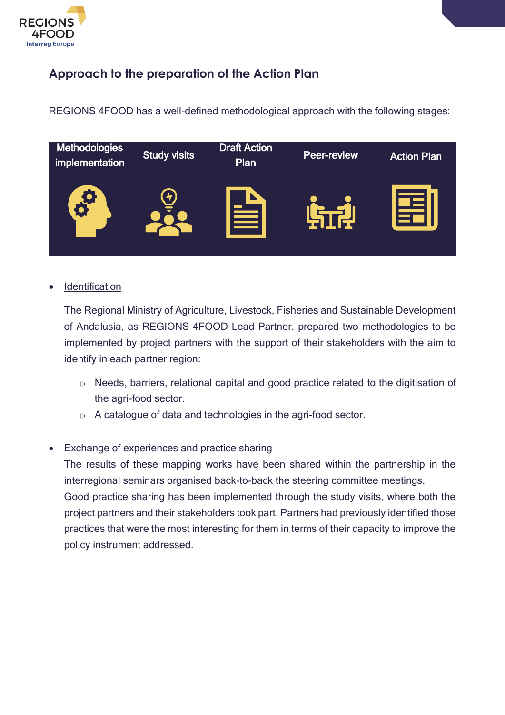

#### <span id="page-16-0"></span>**Approach to the preparation of the Action Plan**

REGIONS 4FOOD has a well-defined methodological approach with the following stages:



#### **Identification**

The Regional Ministry of Agriculture, Livestock, Fisheries and Sustainable Development of Andalusia, as REGIONS 4FOOD Lead Partner, prepared two methodologies to be implemented by project partners with the support of their stakeholders with the aim to identify in each partner region:

- o Needs, barriers, relational capital and good practice related to the digitisation of the agri-food sector.
- o A catalogue of data and technologies in the agri-food sector.

#### • Exchange of experiences and practice sharing

The results of these mapping works have been shared within the partnership in the interregional seminars organised back-to-back the steering committee meetings. Good practice sharing has been implemented through the study visits, where both the project partners and their stakeholders took part. Partners had previously identified those practices that were the most interesting for them in terms of their capacity to improve the policy instrument addressed.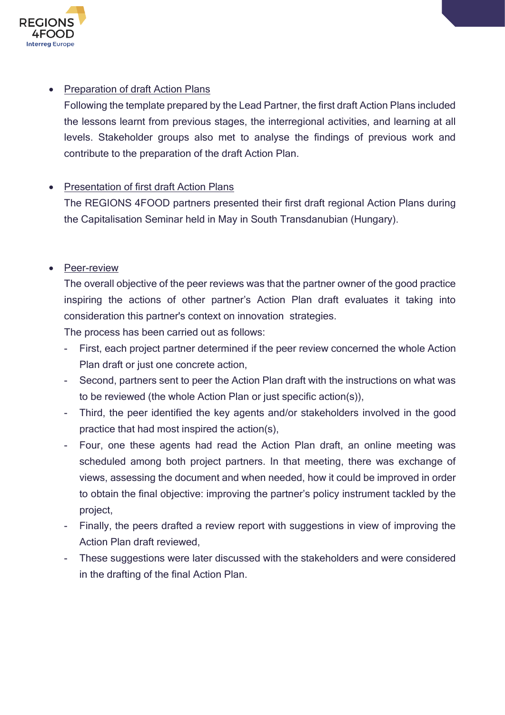

#### • Preparation of draft Action Plans

Following the template prepared by the Lead Partner, the first draft Action Plans included the lessons learnt from previous stages, the interregional activities, and learning at all levels. Stakeholder groups also met to analyse the findings of previous work and contribute to the preparation of the draft Action Plan.

#### • Presentation of first draft Action Plans

The REGIONS 4FOOD partners presented their first draft regional Action Plans during the Capitalisation Seminar held in May in South Transdanubian (Hungary).

#### • Peer-review

The overall objective of the peer reviews was that the partner owner of the good practice inspiring the actions of other partner's Action Plan draft evaluates it taking into consideration this partner's context on innovation strategies.

The process has been carried out as follows:

- First, each project partner determined if the peer review concerned the whole Action Plan draft or just one concrete action,
- Second, partners sent to peer the Action Plan draft with the instructions on what was to be reviewed (the whole Action Plan or just specific action(s)),
- Third, the peer identified the key agents and/or stakeholders involved in the good practice that had most inspired the action(s),
- Four, one these agents had read the Action Plan draft, an online meeting was scheduled among both project partners. In that meeting, there was exchange of views, assessing the document and when needed, how it could be improved in order to obtain the final objective: improving the partner's policy instrument tackled by the project,
- Finally, the peers drafted a review report with suggestions in view of improving the Action Plan draft reviewed,
- These suggestions were later discussed with the stakeholders and were considered in the drafting of the final Action Plan.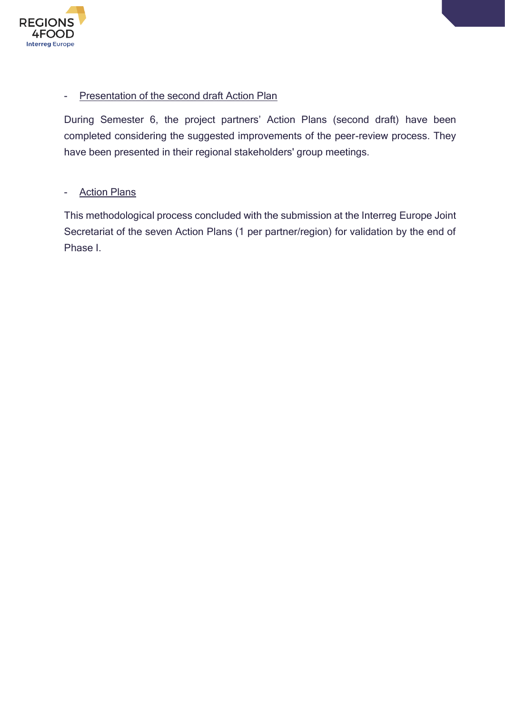

#### - Presentation of the second draft Action Plan

During Semester 6, the project partners' Action Plans (second draft) have been completed considering the suggested improvements of the peer-review process. They have been presented in their regional stakeholders' group meetings.

#### - Action Plans

This methodological process concluded with the submission at the Interreg Europe Joint Secretariat of the seven Action Plans (1 per partner/region) for validation by the end of Phase I.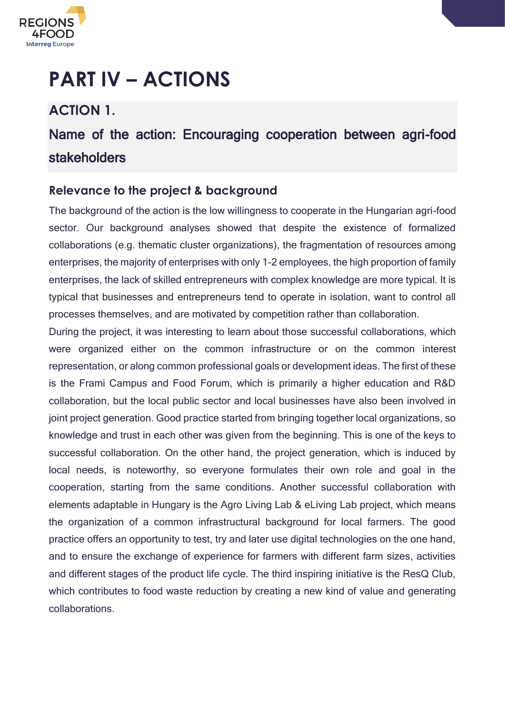

# <span id="page-19-0"></span>**PART IV – ACTIONS**

### <span id="page-19-1"></span>**ACTION 1.**

### Name of the action: Encouraging cooperation between agri-food stakeholders

#### <span id="page-19-2"></span>**Relevance to the project & background**

The background of the action is the low willingness to cooperate in the Hungarian agri-food sector. Our background analyses showed that despite the existence of formalized collaborations (e.g. thematic cluster organizations), the fragmentation of resources among enterprises, the majority of enterprises with only 1-2 employees, the high proportion of family enterprises, the lack of skilled entrepreneurs with complex knowledge are more typical. It is typical that businesses and entrepreneurs tend to operate in isolation, want to control all processes themselves, and are motivated by competition rather than collaboration.

During the project, it was interesting to learn about those successful collaborations, which were organized either on the common infrastructure or on the common interest representation, or along common professional goals or development ideas. The first of these is the Frami Campus and Food Forum, which is primarily a higher education and R&D collaboration, but the local public sector and local businesses have also been involved in joint project generation. Good practice started from bringing together local organizations, so knowledge and trust in each other was given from the beginning. This is one of the keys to successful collaboration. On the other hand, the project generation, which is induced by local needs, is noteworthy, so everyone formulates their own role and goal in the cooperation, starting from the same conditions. Another successful collaboration with elements adaptable in Hungary is the Agro Living Lab & eLiving Lab project, which means the organization of a common infrastructural background for local farmers. The good practice offers an opportunity to test, try and later use digital technologies on the one hand, and to ensure the exchange of experience for farmers with different farm sizes, activities and different stages of the product life cycle. The third inspiring initiative is the ResQ Club, which contributes to food waste reduction by creating a new kind of value and generating collaborations.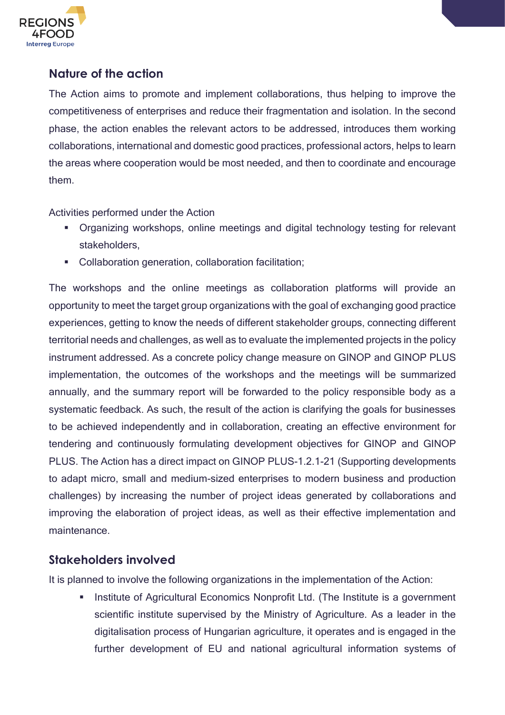

#### <span id="page-20-0"></span>**Nature of the action**

The Action aims to promote and implement collaborations, thus helping to improve the competitiveness of enterprises and reduce their fragmentation and isolation. In the second phase, the action enables the relevant actors to be addressed, introduces them working collaborations, international and domestic good practices, professional actors, helps to learn the areas where cooperation would be most needed, and then to coordinate and encourage them.

Activities performed under the Action

- Organizing workshops, online meetings and digital technology testing for relevant stakeholders,
- Collaboration generation, collaboration facilitation;

The workshops and the online meetings as collaboration platforms will provide an opportunity to meet the target group organizations with the goal of exchanging good practice experiences, getting to know the needs of different stakeholder groups, connecting different territorial needs and challenges, as well as to evaluate the implemented projects in the policy instrument addressed. As a concrete policy change measure on GINOP and GINOP PLUS implementation, the outcomes of the workshops and the meetings will be summarized annually, and the summary report will be forwarded to the policy responsible body as a systematic feedback. As such, the result of the action is clarifying the goals for businesses to be achieved independently and in collaboration, creating an effective environment for tendering and continuously formulating development objectives for GINOP and GINOP PLUS. The Action has a direct impact on GINOP PLUS-1.2.1-21 (Supporting developments to adapt micro, small and medium-sized enterprises to modern business and production challenges) by increasing the number of project ideas generated by collaborations and improving the elaboration of project ideas, as well as their effective implementation and maintenance.

#### <span id="page-20-1"></span>**Stakeholders involved**

It is planned to involve the following organizations in the implementation of the Action:

Institute of Agricultural Economics Nonprofit Ltd. (The Institute is a government scientific institute supervised by the Ministry of Agriculture. As a leader in the digitalisation process of Hungarian agriculture, it operates and is engaged in the further development of EU and national agricultural information systems of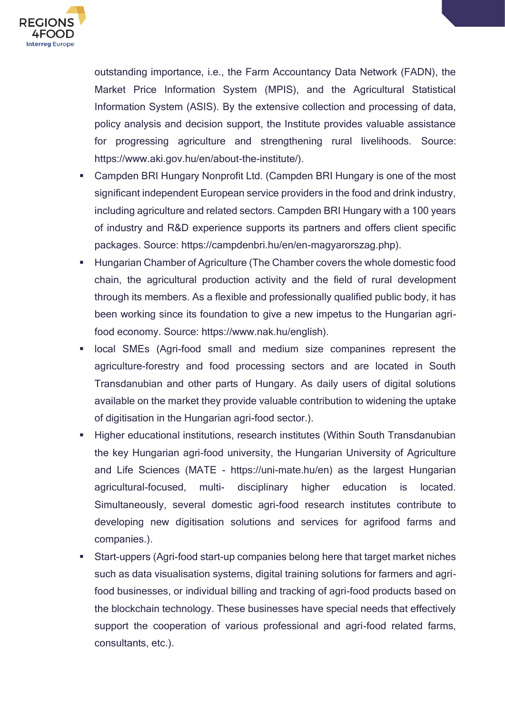

outstanding importance, i.e., the Farm Accountancy Data Network (FADN), the Market Price Information System (MPIS), and the Agricultural Statistical Information System (ASIS). By the extensive collection and processing of data, policy analysis and decision support, the Institute provides valuable assistance for progressing agriculture and strengthening rural livelihoods. Source: https://www.aki.gov.hu/en/about-the-institute/).

- Campden BRI Hungary Nonprofit Ltd. (Campden BRI Hungary is one of the most significant independent European service providers in the food and drink industry, including agriculture and related sectors. Campden BRI Hungary with a 100 years of industry and R&D experience supports its partners and offers client specific packages. Source: https://campdenbri.hu/en/en-magyarorszag.php).
- Hungarian Chamber of Agriculture (The Chamber covers the whole domestic food chain, the agricultural production activity and the field of rural development through its members. As a flexible and professionally qualified public body, it has been working since its foundation to give a new impetus to the Hungarian agrifood economy. Source: https://www.nak.hu/english).
- local SMEs (Agri-food small and medium size companines represent the agriculture-forestry and food processing sectors and are located in South Transdanubian and other parts of Hungary. As daily users of digital solutions available on the market they provide valuable contribution to widening the uptake of digitisation in the Hungarian agri-food sector.).
- Higher educational institutions, research institutes (Within South Transdanubian the key Hungarian agri-food university, the Hungarian University of Agriculture and Life Sciences (MATE - [https://uni-mate.hu/en\)](https://uni-mate.hu/en) as the largest Hungarian agricultural-focused, multi- disciplinary higher education is located. Simultaneously, several domestic agri-food research institutes contribute to developing new digitisation solutions and services for agrifood farms and companies.).
- Start-uppers (Agri-food start-up companies belong here that target market niches such as data visualisation systems, digital training solutions for farmers and agrifood businesses, or individual billing and tracking of agri-food products based on the blockchain technology. These businesses have special needs that effectively support the cooperation of various professional and agri-food related farms, consultants, etc.).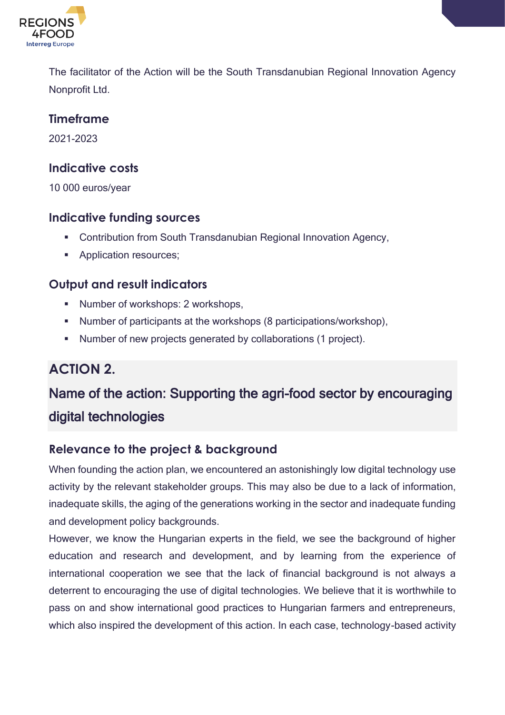

The facilitator of the Action will be the South Transdanubian Regional Innovation Agency Nonprofit Ltd.

#### <span id="page-22-0"></span>**Timeframe**

2021-2023

#### <span id="page-22-1"></span>**Indicative costs**

10 000 euros/year

#### <span id="page-22-2"></span>**Indicative funding sources**

- Contribution from South Transdanubian Regional Innovation Agency,
- Application resources;

#### <span id="page-22-3"></span>**Output and result indicators**

- Number of workshops: 2 workshops,
- Number of participants at the workshops (8 participations/workshop),
- Number of new projects generated by collaborations (1 project).

### <span id="page-22-4"></span>**ACTION 2.**

### Name of the action: Supporting the agri-food sector by encouraging digital technologies

#### <span id="page-22-5"></span>**Relevance to the project & background**

When founding the action plan, we encountered an astonishingly low digital technology use activity by the relevant stakeholder groups. This may also be due to a lack of information, inadequate skills, the aging of the generations working in the sector and inadequate funding and development policy backgrounds.

However, we know the Hungarian experts in the field, we see the background of higher education and research and development, and by learning from the experience of international cooperation we see that the lack of financial background is not always a deterrent to encouraging the use of digital technologies. We believe that it is worthwhile to pass on and show international good practices to Hungarian farmers and entrepreneurs, which also inspired the development of this action. In each case, technology-based activity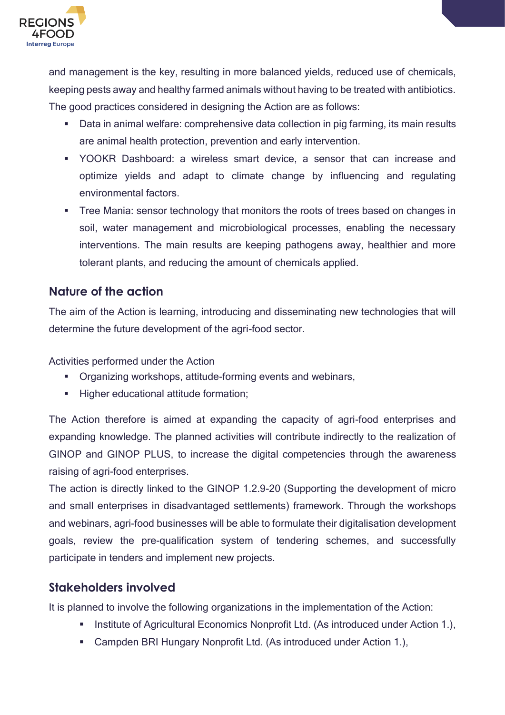

and management is the key, resulting in more balanced yields, reduced use of chemicals, keeping pests away and healthy farmed animals without having to be treated with antibiotics. The good practices considered in designing the Action are as follows:

- Data in animal welfare: comprehensive data collection in pig farming, its main results are animal health protection, prevention and early intervention.
- YOOKR Dashboard: a wireless smart device, a sensor that can increase and optimize yields and adapt to climate change by influencing and regulating environmental factors.
- **•** Tree Mania: sensor technology that monitors the roots of trees based on changes in soil, water management and microbiological processes, enabling the necessary interventions. The main results are keeping pathogens away, healthier and more tolerant plants, and reducing the amount of chemicals applied.

#### <span id="page-23-0"></span>**Nature of the action**

The aim of the Action is learning, introducing and disseminating new technologies that will determine the future development of the agri-food sector.

Activities performed under the Action

- Organizing workshops, attitude-forming events and webinars,
- Higher educational attitude formation;

The Action therefore is aimed at expanding the capacity of agri-food enterprises and expanding knowledge. The planned activities will contribute indirectly to the realization of GINOP and GINOP PLUS, to increase the digital competencies through the awareness raising of agri-food enterprises.

The action is directly linked to the GINOP 1.2.9-20 (Supporting the development of micro and small enterprises in disadvantaged settlements) framework. Through the workshops and webinars, agri-food businesses will be able to formulate their digitalisation development goals, review the pre-qualification system of tendering schemes, and successfully participate in tenders and implement new projects.

#### <span id="page-23-1"></span>**Stakeholders involved**

It is planned to involve the following organizations in the implementation of the Action:

- Institute of Agricultural Economics Nonprofit Ltd. (As introduced under Action 1.),
- Campden BRI Hungary Nonprofit Ltd. (As introduced under Action 1.),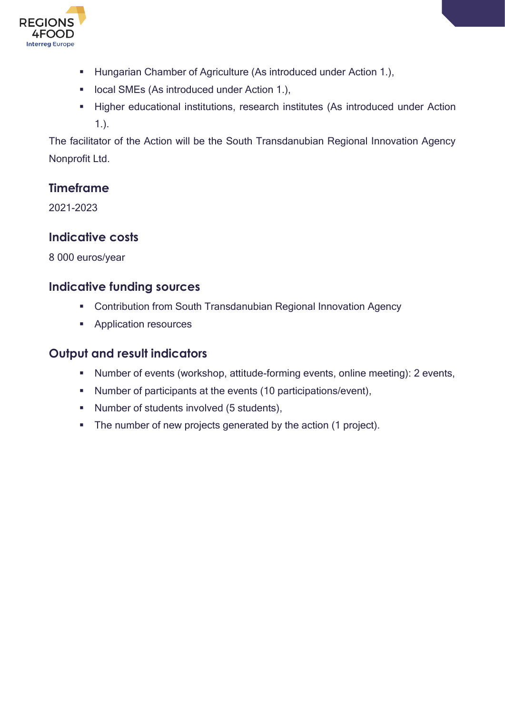

- **E** Hungarian Chamber of Agriculture (As introduced under Action 1.),
- local SMEs (As introduced under Action 1.),
- **EXECT** Higher educational institutions, research institutes (As introduced under Action 1.).

The facilitator of the Action will be the South Transdanubian Regional Innovation Agency Nonprofit Ltd.

#### <span id="page-24-0"></span>**Timeframe**

2021-2023

#### <span id="page-24-1"></span>**Indicative costs**

8 000 euros/year

#### <span id="page-24-2"></span>**Indicative funding sources**

- Contribution from South Transdanubian Regional Innovation Agency
- Application resources

#### <span id="page-24-3"></span>**Output and result indicators**

- Number of events (workshop, attitude-forming events, online meeting): 2 events,
- Number of participants at the events (10 participations/event),
- Number of students involved (5 students),
- The number of new projects generated by the action (1 project).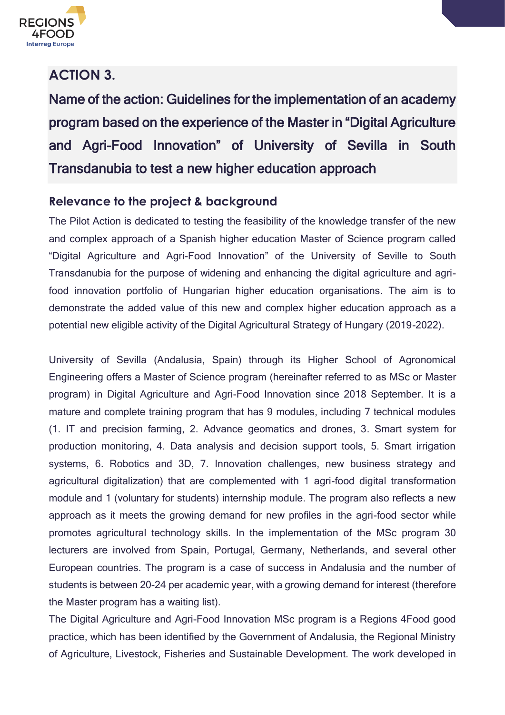

### <span id="page-25-0"></span>**ACTION 3.**

Name of the action: Guidelines for the implementation of an academy program based on the experience of the Master in "Digital Agriculture and Agri-Food Innovation" of University of Sevilla in South Transdanubia to test a new higher education approach

#### <span id="page-25-1"></span>**Relevance to the project & background**

The Pilot Action is dedicated to testing the feasibility of the knowledge transfer of the new and complex approach of a Spanish higher education Master of Science program called "Digital Agriculture and Agri-Food Innovation" of the University of Seville to South Transdanubia for the purpose of widening and enhancing the digital agriculture and agrifood innovation portfolio of Hungarian higher education organisations. The aim is to demonstrate the added value of this new and complex higher education approach as a potential new eligible activity of the Digital Agricultural Strategy of Hungary (2019-2022).

University of Sevilla (Andalusia, Spain) through its Higher School of Agronomical Engineering offers a Master of Science program (hereinafter referred to as MSc or Master program) in Digital Agriculture and Agri-Food Innovation since 2018 September. It is a mature and complete training program that has 9 modules, including 7 technical modules (1. IT and precision farming, 2. Advance geomatics and drones, 3. Smart system for production monitoring, 4. Data analysis and decision support tools, 5. Smart irrigation systems, 6. Robotics and 3D, 7. Innovation challenges, new business strategy and agricultural digitalization) that are complemented with 1 agri-food digital transformation module and 1 (voluntary for students) internship module. The program also reflects a new approach as it meets the growing demand for new profiles in the agri-food sector while promotes agricultural technology skills. In the implementation of the MSc program 30 lecturers are involved from Spain, Portugal, Germany, Netherlands, and several other European countries. The program is a case of success in Andalusia and the number of students is between 20-24 per academic year, with a growing demand for interest (therefore the Master program has a waiting list).

The Digital Agriculture and Agri-Food Innovation MSc program is a Regions 4Food good practice, which has been identified by the Government of Andalusia, the Regional Ministry of Agriculture, Livestock, Fisheries and Sustainable Development. The work developed in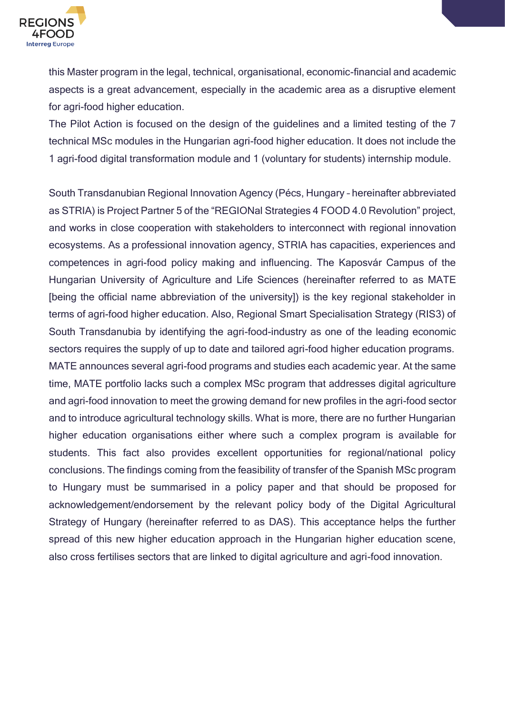

this Master program in the legal, technical, organisational, economic-financial and academic aspects is a great advancement, especially in the academic area as a disruptive element for agri-food higher education.

The Pilot Action is focused on the design of the guidelines and a limited testing of the 7 technical MSc modules in the Hungarian agri-food higher education. It does not include the 1 agri-food digital transformation module and 1 (voluntary for students) internship module.

South Transdanubian Regional Innovation Agency (Pécs, Hungary – hereinafter abbreviated as STRIA) is Project Partner 5 of the "REGIONal Strategies 4 FOOD 4.0 Revolution" project, and works in close cooperation with stakeholders to interconnect with regional innovation ecosystems. As a professional innovation agency, STRIA has capacities, experiences and competences in agri-food policy making and influencing. The Kaposvár Campus of the Hungarian University of Agriculture and Life Sciences (hereinafter referred to as MATE [being the official name abbreviation of the university]) is the key regional stakeholder in terms of agri-food higher education. Also, Regional Smart Specialisation Strategy (RIS3) of South Transdanubia by identifying the agri-food-industry as one of the leading economic sectors requires the supply of up to date and tailored agri-food higher education programs. MATE announces several agri-food programs and studies each academic year. At the same time, MATE portfolio lacks such a complex MSc program that addresses digital agriculture and agri-food innovation to meet the growing demand for new profiles in the agri-food sector and to introduce agricultural technology skills. What is more, there are no further Hungarian higher education organisations either where such a complex program is available for students. This fact also provides excellent opportunities for regional/national policy conclusions. The findings coming from the feasibility of transfer of the Spanish MSc program to Hungary must be summarised in a policy paper and that should be proposed for acknowledgement/endorsement by the relevant policy body of the Digital Agricultural Strategy of Hungary (hereinafter referred to as DAS). This acceptance helps the further spread of this new higher education approach in the Hungarian higher education scene, also cross fertilises sectors that are linked to digital agriculture and agri-food innovation.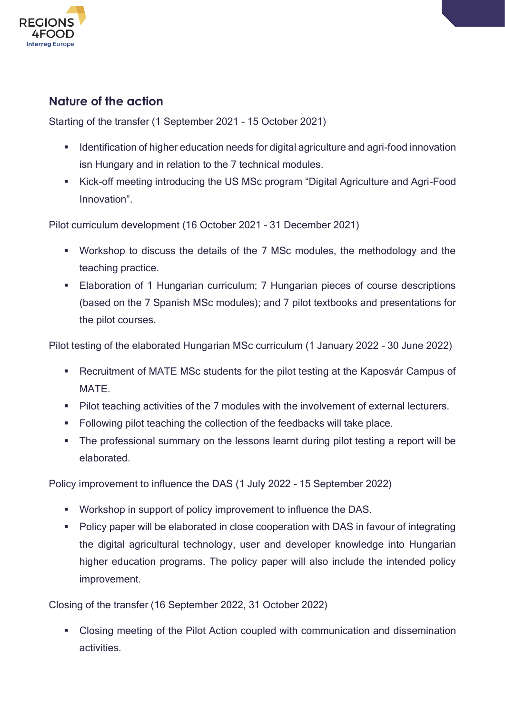

#### <span id="page-27-0"></span>**Nature of the action**

Starting of the transfer (1 September 2021 – 15 October 2021)

- Identification of higher education needs for digital agriculture and agri-food innovation isn Hungary and in relation to the 7 technical modules.
- Kick-off meeting introducing the US MSc program "Digital Agriculture and Agri-Food Innovation".

Pilot curriculum development (16 October 2021 – 31 December 2021)

- Workshop to discuss the details of the 7 MSc modules, the methodology and the teaching practice.
- Elaboration of 1 Hungarian curriculum; 7 Hungarian pieces of course descriptions (based on the 7 Spanish MSc modules); and 7 pilot textbooks and presentations for the pilot courses.

Pilot testing of the elaborated Hungarian MSc curriculum (1 January 2022 – 30 June 2022)

- Recruitment of MATE MSc students for the pilot testing at the Kaposvár Campus of **MATE**
- Pilot teaching activities of the 7 modules with the involvement of external lecturers.
- Following pilot teaching the collection of the feedbacks will take place.
- The professional summary on the lessons learnt during pilot testing a report will be elaborated.

Policy improvement to influence the DAS (1 July 2022 – 15 September 2022)

- Workshop in support of policy improvement to influence the DAS.
- Policy paper will be elaborated in close cooperation with DAS in favour of integrating the digital agricultural technology, user and developer knowledge into Hungarian higher education programs. The policy paper will also include the intended policy improvement.

Closing of the transfer (16 September 2022, 31 October 2022)

■ Closing meeting of the Pilot Action coupled with communication and dissemination activities.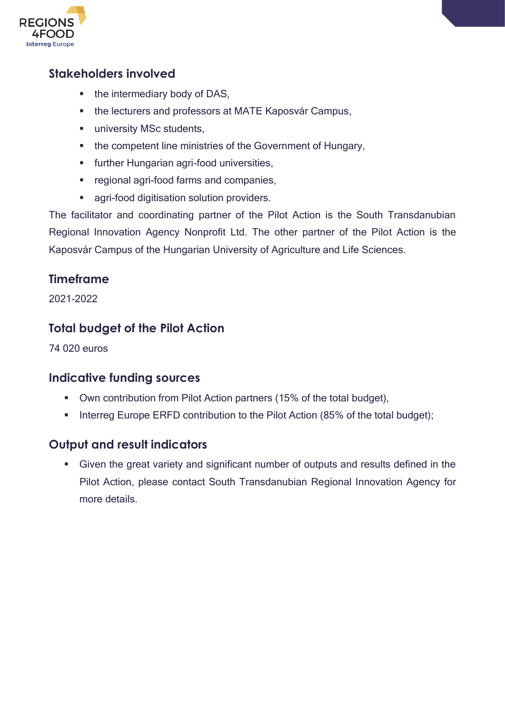

#### <span id="page-28-0"></span>**Stakeholders involved**

- the intermediary body of DAS,
- the lecturers and professors at MATE Kaposvár Campus,
- **■** university MSc students,
- the competent line ministries of the Government of Hungary,
- **■** further Hungarian agri-food universities,
- regional agri-food farms and companies,
- agri-food digitisation solution providers.

The facilitator and coordinating partner of the Pilot Action is the South Transdanubian Regional Innovation Agency Nonprofit Ltd. The other partner of the Pilot Action is the Kaposvár Campus of the Hungarian University of Agriculture and Life Sciences.

#### <span id="page-28-1"></span>**Timeframe**

2021-2022

#### <span id="page-28-2"></span>**Total budget of the Pilot Action**

74 020 euros

#### <span id="page-28-3"></span>**Indicative funding sources**

- Own contribution from Pilot Action partners (15% of the total budget),
- **Interreg Europe ERFD contribution to the Pilot Action (85% of the total budget);**

#### <span id="page-28-4"></span>**Output and result indicators**

■ Given the great variety and significant number of outputs and results defined in the Pilot Action, please contact South Transdanubian Regional Innovation Agency for more details.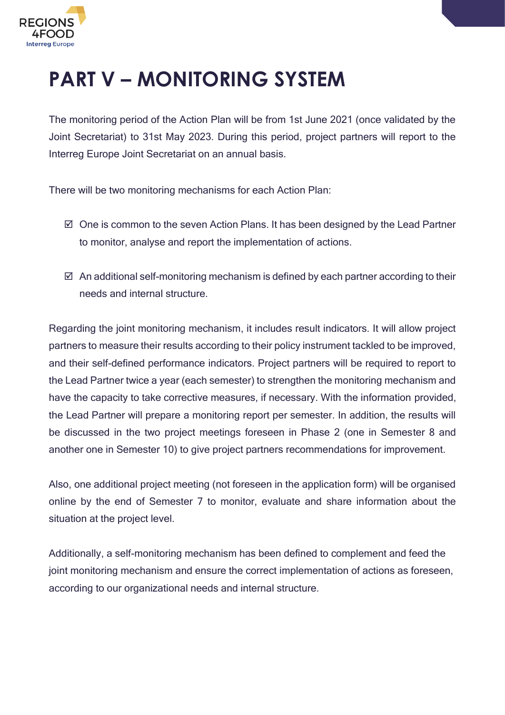

# <span id="page-29-0"></span>**PART V – MONITORING SYSTEM**

The monitoring period of the Action Plan will be from 1st June 2021 (once validated by the Joint Secretariat) to 31st May 2023. During this period, project partners will report to the Interreg Europe Joint Secretariat on an annual basis.

There will be two monitoring mechanisms for each Action Plan:

- $\boxtimes$  One is common to the seven Action Plans. It has been designed by the Lead Partner to monitor, analyse and report the implementation of actions.
- $\boxtimes$  An additional self-monitoring mechanism is defined by each partner according to their needs and internal structure.

Regarding the joint monitoring mechanism, it includes result indicators. It will allow project partners to measure their results according to their policy instrument tackled to be improved, and their self-defined performance indicators. Project partners will be required to report to the Lead Partner twice a year (each semester) to strengthen the monitoring mechanism and have the capacity to take corrective measures, if necessary. With the information provided, the Lead Partner will prepare a monitoring report per semester. In addition, the results will be discussed in the two project meetings foreseen in Phase 2 (one in Semester 8 and another one in Semester 10) to give project partners recommendations for improvement.

Also, one additional project meeting (not foreseen in the application form) will be organised online by the end of Semester 7 to monitor, evaluate and share information about the situation at the project level.

Additionally, a self-monitoring mechanism has been defined to complement and feed the joint monitoring mechanism and ensure the correct implementation of actions as foreseen, according to our organizational needs and internal structure.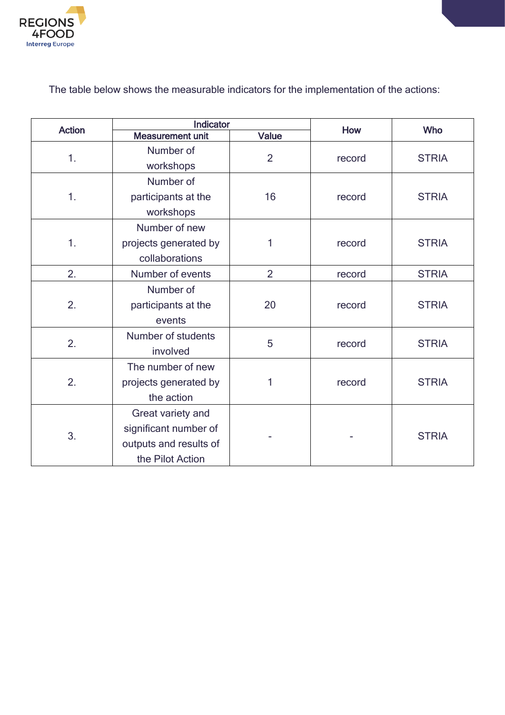

The table below shows the measurable indicators for the implementation of the actions:

| <b>Action</b> |                                                                                          | Indicator      |        | <b>Who</b>   |
|---------------|------------------------------------------------------------------------------------------|----------------|--------|--------------|
|               | <b>Measurement unit</b>                                                                  | <b>Value</b>   | How    |              |
| 1.            | Number of<br>workshops                                                                   | $\overline{2}$ | record | <b>STRIA</b> |
| 1.            | Number of<br>participants at the<br>workshops                                            | 16             | record | <b>STRIA</b> |
| 1.            | Number of new<br>projects generated by<br>collaborations                                 | 1              | record | <b>STRIA</b> |
| 2.            | Number of events                                                                         | $\overline{2}$ | record | <b>STRIA</b> |
| 2.            | Number of<br>participants at the<br>events                                               | 20             | record | <b>STRIA</b> |
| 2.            | Number of students<br>involved                                                           | 5              | record | <b>STRIA</b> |
| 2.            | The number of new<br>projects generated by<br>the action                                 | 1              | record | <b>STRIA</b> |
| 3.            | Great variety and<br>significant number of<br>outputs and results of<br>the Pilot Action |                |        | <b>STRIA</b> |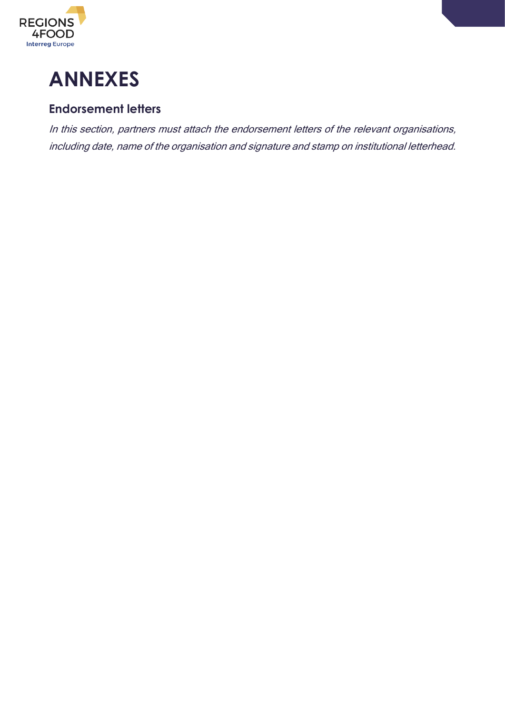

<span id="page-31-0"></span>

#### <span id="page-31-1"></span>**Endorsement letters**

In this section, partners must attach the endorsement letters of the relevant organisations, including date, name of the organisation and signature and stamp on institutional letterhead.